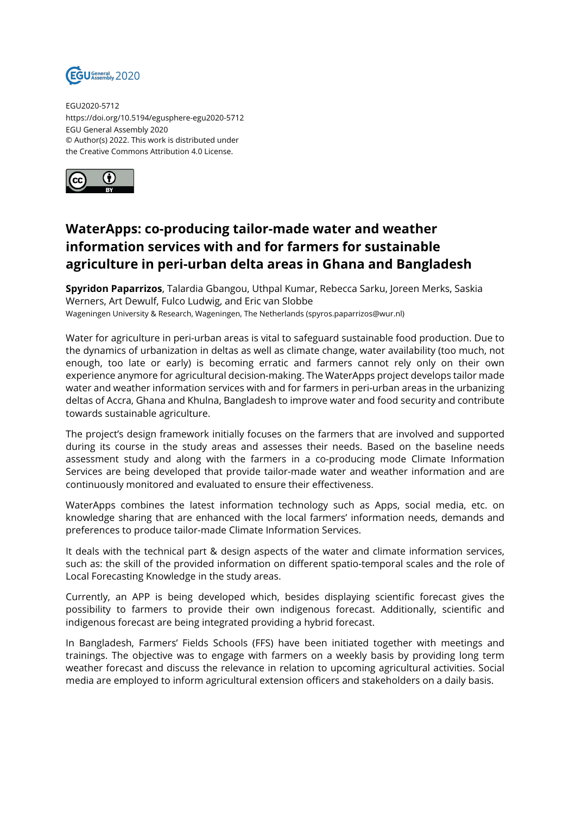

EGU2020-5712 https://doi.org/10.5194/egusphere-egu2020-5712 EGU General Assembly 2020 © Author(s) 2022. This work is distributed under the Creative Commons Attribution 4.0 License.



## **WaterApps: co-producing tailor-made water and weather information services with and for farmers for sustainable agriculture in peri-urban delta areas in Ghana and Bangladesh**

**Spyridon Paparrizos**, Talardia Gbangou, Uthpal Kumar, Rebecca Sarku, Joreen Merks, Saskia Werners, Art Dewulf, Fulco Ludwig, and Eric van Slobbe Wageningen University & Research, Wageningen, The Netherlands (spyros.paparrizos@wur.nl)

Water for agriculture in peri-urban areas is vital to safeguard sustainable food production. Due to the dynamics of urbanization in deltas as well as climate change, water availability (too much, not enough, too late or early) is becoming erratic and farmers cannot rely only on their own experience anymore for agricultural decision-making. The WaterApps project develops tailor made water and weather information services with and for farmers in peri-urban areas in the urbanizing deltas of Accra, Ghana and Khulna, Bangladesh to improve water and food security and contribute towards sustainable agriculture.

The project's design framework initially focuses on the farmers that are involved and supported during its course in the study areas and assesses their needs. Based on the baseline needs assessment study and along with the farmers in a co-producing mode Climate Information Services are being developed that provide tailor-made water and weather information and are continuously monitored and evaluated to ensure their effectiveness.

WaterApps combines the latest information technology such as Apps, social media, etc. on knowledge sharing that are enhanced with the local farmers' information needs, demands and preferences to produce tailor-made Climate Information Services.

It deals with the technical part & design aspects of the water and climate information services, such as: the skill of the provided information on different spatio-temporal scales and the role of Local Forecasting Knowledge in the study areas.

Currently, an APP is being developed which, besides displaying scientific forecast gives the possibility to farmers to provide their own indigenous forecast. Additionally, scientific and indigenous forecast are being integrated providing a hybrid forecast.

In Bangladesh, Farmers' Fields Schools (FFS) have been initiated together with meetings and trainings. The objective was to engage with farmers on a weekly basis by providing long term weather forecast and discuss the relevance in relation to upcoming agricultural activities. Social media are employed to inform agricultural extension officers and stakeholders on a daily basis.